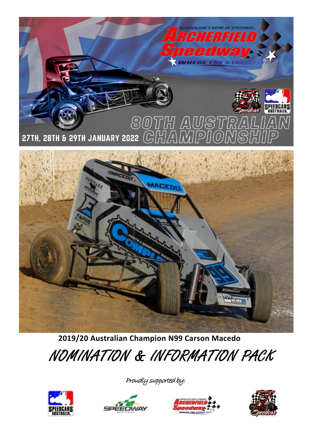

**2019/20 Australian Champion N99 Carson Macedo**

## NOMINATION & INFORMATION PACK



Proudly supported by:





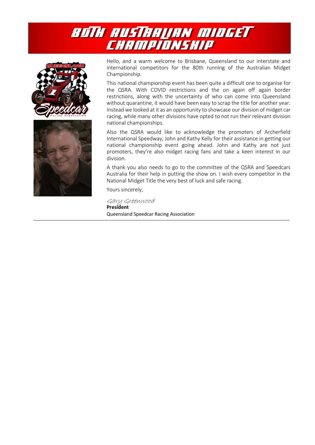





Hello, and a warm welcome to Brisbane, Queensland to our interstate and international competitors for the 80th running of the Australian Midget Championship.

This national championship event has been quite a difficult one to organise for the QSRA. With COVID restrictions and the on again off again border restrictions, along with the uncertainty of who can come into Queensland without quarantine, it would have been easy to scrap the title for another year. Instead we looked at it as an opportunity to showcase our division of midget car racing, while many other divisions have opted to not run their relevant division national championships.

Also the QSRA would like to acknowledge the promoters of Archerfield International Speedway, John and Kathy Kelly for their assistance in getting our national championship event going ahead. John and Kathy are not just promoters, they're also midget racing fans and take a keen interest in our division.

A thank you also needs to go to the committee of the QSRA and Speedcars Australia for their help in putting the show on. I wish every competitor in the National Midget Title the very best of luck and safe racing.

Yours sincerely,

Gary Greenwood **President** Queensland Speedcar Racing Association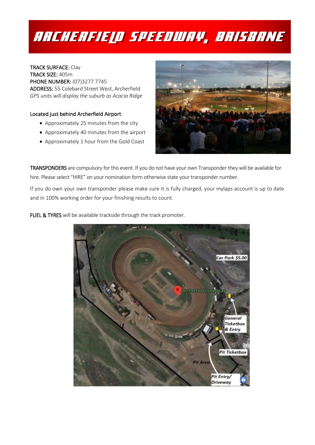## RRCHERFIELD SPEEDWAY, BRISBANE

TRACK SURFACE: Clay TRACK SIZE: 405m PHONE NUMBER: (07)3277 7745 ADDRESS: 55 Colebard Street West, Archerfield *GPS units will display the suburb as Acacia Ridge*

### Located just behind Archerfield Airport

- Approximately 25 minutes from the city
- Approximately 40 minutes from the airport
- Approximately 1 hour from the Gold Coast



TRANSPONDERS are compulsory for this event. If you do not have your own Transponder they will be available for hire. Please select "HIRE" on your nomination form otherwise state your transponder number.

If you do own your own transponder please make sure it is fully charged, your mylaps account is up to date and in 100% working order for your finishing results to count.

FUEL & TYRES will be available trackside through the track promoter.

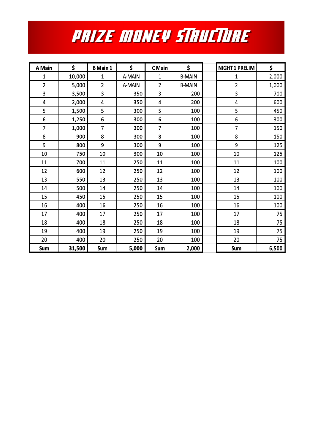# **PRIZE MONEY STRUCTURE**

| A Main | \$     | <b>B</b> Main 1 | \$     | C Main         | \$            | <b>NIGHT 1 PRELIM</b> | \$    |
|--------|--------|-----------------|--------|----------------|---------------|-----------------------|-------|
| 1      | 10,000 | 1               | A-MAIN | 1              | <b>B-MAIN</b> | 1                     | 2,000 |
| 2      | 5,000  | 2               | A-MAIN | 2              | <b>B-MAIN</b> | 2                     | 1,000 |
| 3      | 3,500  | 3               | 350    | 3              | 200           | 3                     | 700   |
| 4      | 2,000  | 4               | 350    | 4              | 200           | 4                     | 600   |
| 5      | 1,500  | 5               | 300    | 5              | 100           | 5                     | 450   |
| 6      | 1,250  | 6               | 300    | 6              | 100           | 6                     | 300   |
| 7      | 1,000  | 7               | 300    | $\overline{7}$ | 100           | 7                     | 150   |
| 8      | 900    | 8               | 300    | 8              | 100           | 8                     | 150   |
| 9      | 800    | 9               | 300    | 9              | 100           | 9                     | 125   |
| 10     | 750    | 10              | 300    | 10             | 100           | 10                    | 125   |
| 11     | 700    | 11              | 250    | 11             | 100           | 11                    | 100   |
| 12     | 600    | 12              | 250    | 12             | 100           | 12                    | 100   |
| 13     | 550    | 13              | 250    | 13             | 100           | 13                    | 100   |
| 14     | 500    | 14              | 250    | 14             | 100           | 14                    | 100   |
| 15     | 450    | 15              | 250    | 15             | 100           | 15                    | 100   |
| 16     | 400    | 16              | 250    | 16             | 100           | 16                    | 100   |
| 17     | 400    | 17              | 250    | 17             | 100           | 17                    | 75    |
| 18     | 400    | 18              | 250    | 18             | 100           | 18                    | 75    |
| 19     | 400    | 19              | 250    | 19             | 100           | 19                    | 75    |
| 20     | 400    | 20              | 250    | 20             | 100           | 20                    | 75    |
| Sum    | 31,500 | Sum             | 5,000  | Sum            | 2,000         | Sum                   | 6,500 |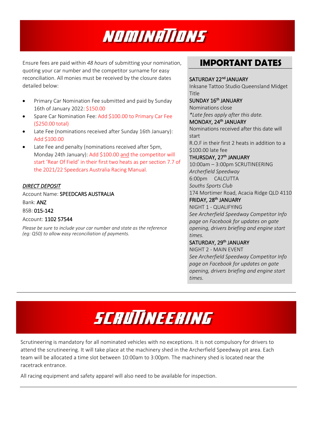

Ensure fees are paid within *48 hours* of submitting your nomination, quoting your car number and the competitor surname for easy reconciliation. All monies must be received by the closure dates detailed below:

- Primary Car Nomination Fee submitted and paid by Sunday 16th of January 2022: \$150.00
- Spare Car Nomination Fee: Add \$100.00 to Primary Car Fee (\$250.00 total)
- Late Fee (nominations received after Sunday 16th January): Add \$100.00
- Late Fee and penalty (nominations received after 5pm, Monday 24th January): Add \$100.00 and the competitor will start 'Rear Of Field' in their first two heats as per section 7.7 of the 2021/22 Speedcars Australia Racing Manual.

### *DIRECT DEPOSIT*

Account Name: SPEEDCARS AUSTRALIA Bank: ANZ

BSB: 015-142

### Account: 1102 57544

*Please be sure to include your car number and state as the reference (eg: Q50) to allow easy reconciliation of payments.*

## **IMPORTANT DATES**

SATURDAY 22<sup>nd</sup> JANUARY Inksane Tattoo Studio Queensland Midget Title SUNDAY 16<sup>th</sup> JANUARY Nominations close *\*Late fees apply after this date.* MONDAY, 24<sup>th</sup> JANUARY Nominations received after this date will start R.O.F in their first 2 heats in addition to a \$100.00 late fee THURSDAY, 27<sup>th</sup> JANUARY 10:00am – 3:00pm SCRUTINEERING *Archerfield Speedway* 6:00pm CALCUTTA *Souths Sports Club* 174 Mortimer Road, Acacia Ridge QLD 4110 FRIDAY, 28<sup>th</sup> JANUARY NIGHT 1 - QUALIFYING

*See Archerfield Speedway Competitor Info page on Facebook for updates on gate opening, drivers briefing and engine start times.* 

### SATURDAY, 29<sup>th</sup> JANUARY

NIGHT 2 - MAIN EVENT *See Archerfield Speedway Competitor Info page on Facebook for updates on gate opening, drivers briefing and engine start times.*

# SCRUTINEERING

Scrutineering is mandatory for all nominated vehicles with no exceptions. It is not compulsory for drivers to attend the scrutineering. It will take place at the machinery shed in the Archerfield Speedway pit area. Each team will be allocated a time slot between 10:00am to 3:00pm. The machinery shed is located near the racetrack entrance.

All racing equipment and safety apparel will also need to be available for inspection.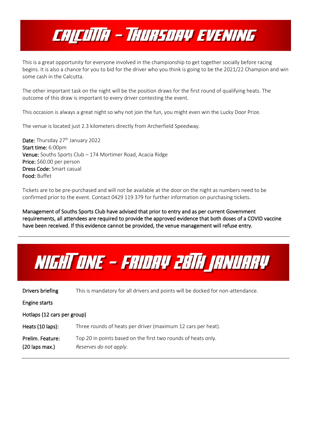## CAICUNA - THURSDAY EVENING

This is a great opportunity for everyone involved in the championship to get together socially before racing begins. It is also a chance for you to bid for the driver who you think is going to be the 2021/22 Champion and win some cash in the Calcutta.

The other important task on the night will be the position draws for the first round of qualifying heats. The outcome of this draw is important to every driver contesting the event.

This occasion is always a great night so why not join the fun, you might even win the Lucky Door Prize.

The venue is located just 2.3 kilometers directly from Archerfield Speedway.

Date: Thursday 27<sup>th</sup> January 2022 Start time: 6:00pm Venue: Souths Sports Club – 174 Mortimer Road, Acacia Ridge Price: \$60.00 per person Dress Code: Smart casual Food: Buffet

Tickets are to be pre-purchased and will not be available at the door on the night as numbers need to be confirmed prior to the event. Contact 0429 119 379 for further information on purchasing tickets.

Management of Souths Sports Club have advised that prior to entry and as per current Government requirements, all attendees are required to provide the approved evidence that both doses of a COVID vaccine have been received. If this evidence cannot be provided, the venue management will refuse entry.



Drivers briefing This is mandatory for all drivers and points will be docked for non-attendance. Engine starts Hotlaps (12 cars per group) Heats (10 laps): Three rounds of heats per driver (maximum 12 cars per heat). Prelim. Feature: Top 20 in points based on the first two rounds of heats only. (20 laps max.) *Reserves do not apply.*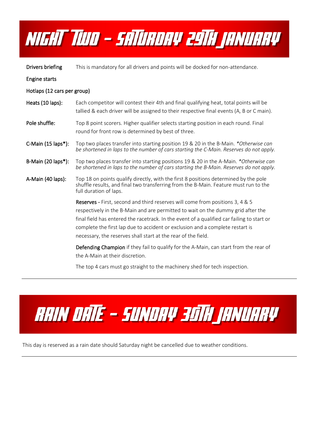

Drivers briefing This is mandatory for all drivers and points will be docked for non-attendance.

Engine starts

Hotlaps (12 cars per group)

- Heats (10 laps): Each competitor will contest their 4th and final qualifying heat, total points will be tallied & each driver will be assigned to their respective final events (A, B or C main).
- Pole shuffle: Top 8 point scorers. Higher qualifier selects starting position in each round. Final round for front row is determined by best of three.
- C-Main (15 laps\*): Top two places transfer into starting position 19 & 20 in the B-Main. *\*Otherwise can be shortened in laps to the number of cars starting the C-Main. Reserves do not apply.*
- B-Main (20 laps\*): Top two places transfer into starting positions 19 & 20 in the A-Main. *\*Otherwise can be shortened in laps to the number of cars starting the B-Main. Reserves do not apply.*
- A-Main (40 laps): Top 18 on points qualify directly, with the first 8 positions determined by the pole shuffle results, and final two transferring from the B-Main. Feature must run to the full duration of laps.

Reserves - First, second and third reserves will come from positions 3, 4 & 5 respectively in the B-Main and are permitted to wait on the dummy grid after the final field has entered the racetrack. In the event of a qualified car failing to start or complete the first lap due to accident or exclusion and a complete restart is necessary, the reserves shall start at the rear of the field.

Defending Champion if they fail to qualify for the A-Main, can start from the rear of the A-Main at their discretion.

The top 4 cars must go straight to the machinery shed for tech inspection.



This day is reserved as a rain date should Saturday night be cancelled due to weather conditions.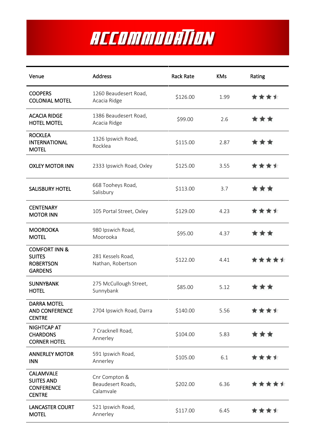# ACCOMMODATION

| Venue                                                                           | <b>Address</b>                                  | <b>Rack Rate</b> | <b>KMs</b> | Rating |
|---------------------------------------------------------------------------------|-------------------------------------------------|------------------|------------|--------|
| <b>COOPERS</b><br><b>COLONIAL MOTEL</b>                                         | 1260 Beaudesert Road,<br>Acacia Ridge           | \$126.00         | 1.99       | ****   |
| <b>ACACIA RIDGE</b><br><b>HOTEL MOTEL</b>                                       | 1386 Beaudesert Road,<br>Acacia Ridge           | \$99.00          | 2.6        | ***    |
| <b>ROCKLEA</b><br><b>INTERNATIONAL</b><br><b>MOTEL</b>                          | 1326 Ipswich Road,<br>Rocklea                   | \$115.00         | 2.87       | ***    |
| <b>OXLEY MOTOR INN</b>                                                          | 2333 Ipswich Road, Oxley                        | \$125.00         | 3.55       | ****   |
| <b>SALISBURY HOTEL</b>                                                          | 668 Tooheys Road,<br>Salisbury                  | \$113.00         | 3.7        | ***    |
| <b>CENTENARY</b><br><b>MOTOR INN</b>                                            | 105 Portal Street, Oxley                        | \$129.00         | 4.23       | ****   |
| <b>MOOROOKA</b><br><b>MOTEL</b>                                                 | 980 Ipswich Road,<br>Moorooka                   | \$95.00          | 4.37       | ***    |
| <b>COMFORT INN &amp;</b><br><b>SUITES</b><br><b>ROBERTSON</b><br><b>GARDENS</b> | 281 Kessels Road,<br>Nathan, Robertson          | \$122.00         | 4.41       | *****  |
| <b>SUNNYBANK</b><br><b>HOTEL</b>                                                | 275 McCullough Street,<br>Sunnybank             | \$85.00          | 5.12       | * * *  |
| DARRA MOTEL<br><b>AND CONFERENCE</b><br><b>CENTRE</b>                           | 2704 Ipswich Road, Darra                        | \$140.00         | 5.56       | ****   |
| NIGHTCAP AT<br><b>CHARDONS</b><br><b>CORNER HOTEL</b>                           | 7 Cracknell Road,<br>Annerley                   | \$104.00         | 5.83       | ***    |
| <b>ANNERLEY MOTOR</b><br><b>INN</b>                                             | 591 Ipswich Road,<br>Annerley                   | \$105.00         | 6.1        | ****   |
| <b>CALAMVALE</b><br><b>SUITES AND</b><br><b>CONFERENCE</b><br><b>CENTRE</b>     | Cnr Compton &<br>Beaudesert Roads,<br>Calamvale | \$202.00         | 6.36       | *****  |
| <b>LANCASTER COURT</b><br><b>MOTEL</b>                                          | 521 Ipswich Road,<br>Annerley                   | \$117.00         | 6.45       | ****   |